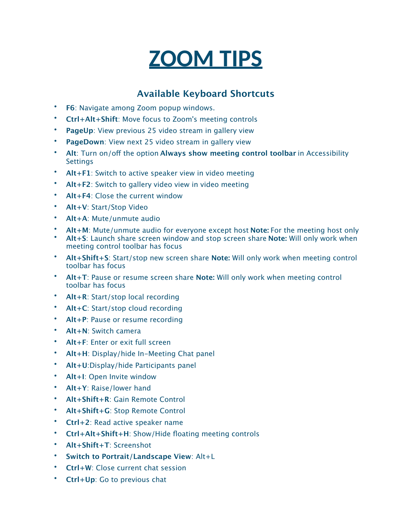## **ZOOM TIPS**

## **Available Keyboard Shortcuts**

- **F6**: Navigate among Zoom popup windows.
- **Ctrl+Alt+Shift**: Move focus to Zoom's meeting controls
- **PageUp:** View previous 25 video stream in gallery view
- **PageDown**: View next 25 video stream in gallery view
- **Alt**: Turn on/of the option **Always show meeting control toolbar** in Accessibility **Settings**
- **Alt+F1**: Switch to active speaker view in video meeting
- **Alt+F2**: Switch to gallery video view in video meeting
- **Alt+F4**: Close the current window
- **Alt+V**: Start/Stop Video
- **Alt+A**: Mute/unmute audio
- **Alt+M**: Mute/unmute audio for everyone except host **Note:** For the meeting host only
- **Alt+S**: Launch share screen window and stop screen share **Note:** Will only work when meeting control toolbar has focus
- **Alt+Shift+S**: Start/stop new screen share **Note:** Will only work when meeting control toolbar has focus
- **Alt+T**: Pause or resume screen share **Note:** Will only work when meeting control toolbar has focus
- **Alt+R**: Start/stop local recording
- **Alt+C**: Start/stop cloud recording
- **Alt+P**: Pause or resume recording
- **Alt+N**: Switch camera
- **Alt+F**: Enter or exit full screen
- **Alt+H**: Display/hide In-Meeting Chat panel
- **Alt+U**:Display/hide Participants panel
- **Alt+I**: Open Invite window
- **Alt+Y**: Raise/lower hand
- **Alt+Shift+R**: Gain Remote Control
- **Alt+Shift+G**: Stop Remote Control
- **Ctrl+2**: Read active speaker name
- **Ctrl+Alt+Shift+H**: Show/Hide floating meeting controls
- **Alt+Shift+T**: Screenshot
- **Switch to Portrait/Landscape View**: Alt+L
- **Ctrl+W**: Close current chat session
- **Ctrl+Up**: Go to previous chat